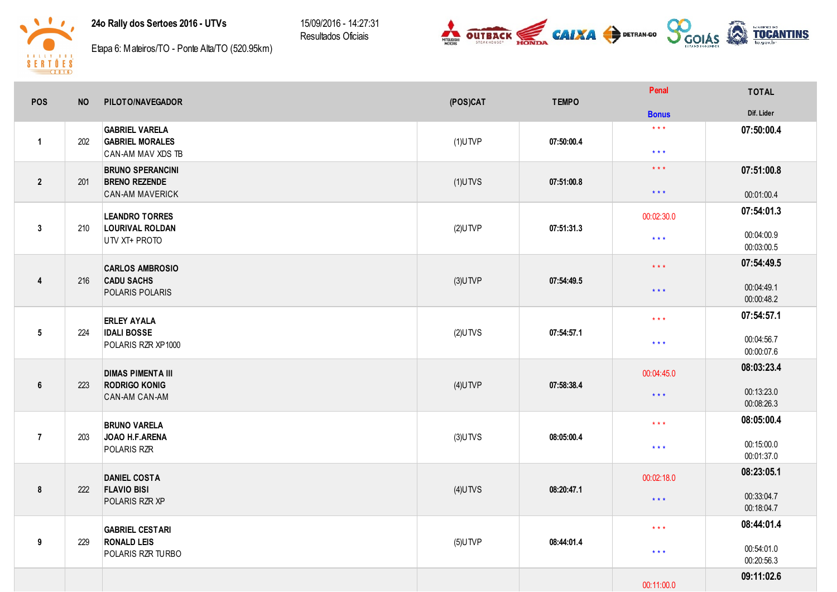24o Rally dos Sertoes 2016 - UTVs

15/09/2016 - 14:27:31 Resultados Oficiais





Etapa 6: Mateiros/TO - Ponte Alta/TO (520.95km)

| <b>POS</b>       | <b>NO</b> | PILOTO/NAVEGADOR                                                          | (POS)CAT   | <b>TEMPO</b> | Penal                                              | <b>TOTAL</b>                                         |
|------------------|-----------|---------------------------------------------------------------------------|------------|--------------|----------------------------------------------------|------------------------------------------------------|
|                  |           |                                                                           |            |              | <b>Bonus</b>                                       | Dif. Lider                                           |
| $\mathbf{1}$     | 202       | <b>GABRIEL VARELA</b><br><b>GABRIEL MORALES</b><br>CAN-AM MAV XDS TB      | $(1)$ UTVP | 07:50:00.4   | $\star$ $\star$ $\star$<br>$\star$ $\star$ $\star$ | 07:50:00.4                                           |
| $\overline{2}$   | 201       | <b>BRUNO SPERANCINI</b><br><b>BRENO REZENDE</b><br><b>CAN-AM MAVERICK</b> | $(1)$ UTVS | 07:51:00.8   | $\star$ $\star$ $\star$<br>$\star$ $\star$ $\star$ | 07:51:00.8<br>00:01:00.4                             |
| $\mathbf{3}$     | 210       | <b>LEANDRO TORRES</b><br><b>LOURIVAL ROLDAN</b><br>UTV XT+ PROTO          | $(2)$ UTVP | 07:51:31.3   | 00:02:30.0<br>$\star$ $\star$ $\star$              | 07:54:01.3<br>00:04:00.9                             |
| $\boldsymbol{4}$ | 216       | <b>CARLOS AMBROSIO</b><br><b>CADU SACHS</b><br>POLARIS POLARIS            | $(3)$ UTVP | 07:54:49.5   | $\star$ $\star$ $\star$<br>$\star$ $\star$ $\star$ | 00:03:00.5<br>07:54:49.5<br>00:04:49.1               |
| $5\phantom{.0}$  | 224       | <b>ERLEY AYALA</b><br><b>IDALI BOSSE</b><br>POLARIS RZR XP1000            | $(2)$ UTVS | 07:54:57.1   | $\star$ $\star$ $\star$<br>$\star$ $\star$ $\star$ | 00:00:48.2<br>07:54:57.1<br>00:04:56.7<br>00:00:07.6 |
| $\boldsymbol{6}$ | 223       | <b>DIMAS PIMENTA III</b><br><b>RODRIGO KONIG</b><br>CAN-AM CAN-AM         | $(4)$ UTVP | 07:58:38.4   | 00:04:45.0<br>$\star$ $\star$ $\star$              | 08:03:23.4<br>00:13:23.0<br>00:08:26.3               |
| $\overline{7}$   | 203       | <b>BRUNO VARELA</b><br>JOAO H.F.ARENA<br>POLARIS RZR                      | $(3)$ UTVS | 08:05:00.4   | $\star$ $\star$ $\star$<br>$***$                   | 08:05:00.4<br>00:15:00.0<br>00:01:37.0               |
| $\pmb{8}$        | 222       | <b>DANIEL COSTA</b><br><b>FLAVIO BISI</b><br>POLARIS RZR XP               | $(4)$ UTVS | 08:20:47.1   | 00:02:18.0<br>$\star$ $\star$ $\star$              | 08:23:05.1<br>00:33:04.7<br>00:18:04.7               |
| 9                | 229       | <b>GABRIEL CESTARI</b><br><b>RONALD LEIS</b><br>POLARIS RZR TURBO         | $(5)$ UTVP | 08:44:01.4   | $\star$ $\star$ $\star$<br>$\star$ $\star$ $\star$ | 08:44:01.4<br>00:54:01.0<br>00:20:56.3               |
|                  |           |                                                                           |            |              | 00:11:00.0                                         | 09:11:02.6                                           |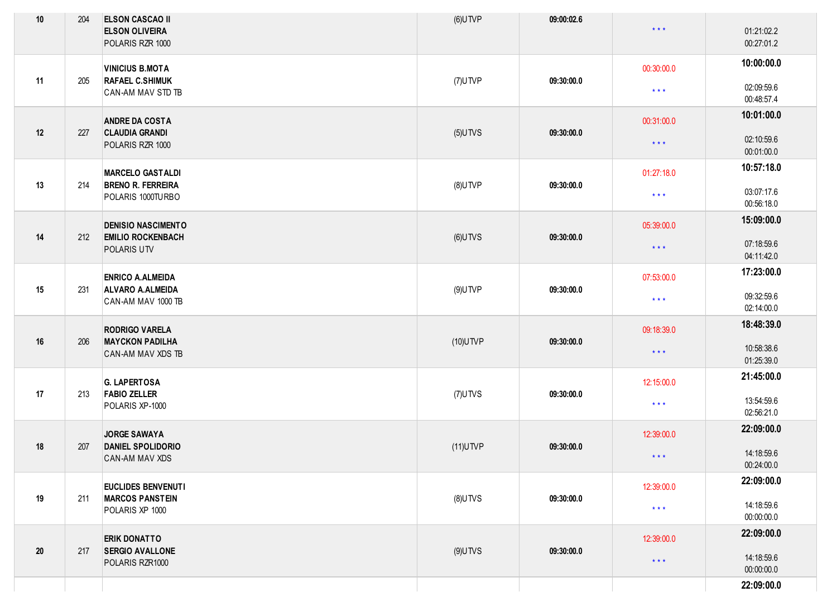| $10\,$ | 204 | <b>ELSON CASCAO II</b><br><b>ELSON OLIVEIRA</b><br>POLARIS RZR 1000     | $(6)$ UTVP               | 09:00:02.6 | $\star$ $\star$ $\star$ | 01:21:02.2<br>00:27:01.2 |
|--------|-----|-------------------------------------------------------------------------|--------------------------|------------|-------------------------|--------------------------|
|        |     | <b>VINICIUS B.MOTA</b><br><b>RAFAEL C.SHIMUK</b><br>CAN-AM MAV STD TB   | (7)UTVP                  | 09:30:00.0 | 00:30:00.0              | 10:00:00.0               |
| 11     | 205 |                                                                         |                          |            | $\star$ $\star$ $\star$ | 02:09:59.6<br>00:48:57.4 |
|        | 227 | <b>ANDRE DA COSTA</b><br><b>CLAUDIA GRANDI</b><br>POLARIS RZR 1000      | $(5)$ UTVS               | 09:30:00.0 | 00:31:00.0              | 10:01:00.0               |
| 12     |     |                                                                         |                          |            | $\star$ $\star$ $\star$ | 02:10:59.6<br>00:01:00.0 |
|        |     | <b>MARCELO GASTALDI</b>                                                 |                          | 09:30:00.0 | 01:27:18.0              | 10:57:18.0               |
| 13     | 214 | <b>BRENO R. FERREIRA</b><br>POLARIS 1000TURBO                           | $(8)$ UTVP               |            | $\star$ $\star$ $\star$ | 03:07:17.6<br>00:56:18.0 |
|        |     | <b>DENISIO NASCIMENTO</b>                                               |                          |            | 05:39:00.0              | 15:09:00.0               |
| 14     | 212 | <b>EMILIO ROCKENBACH</b><br>POLARIS UTV                                 | $(6)$ UTVS               | 09:30:00.0 | $\star$ $\star$ $\star$ | 07:18:59.6<br>04:11:42.0 |
|        |     | <b>ENRICO A.ALMEIDA</b>                                                 | $(9)$ UTVP<br>09:30:00.0 |            | 07:53:00.0              | 17:23:00.0               |
| 15     | 231 | <b>ALVARO A.ALMEIDA</b><br>CAN-AM MAV 1000 TB                           |                          |            | $\star$ $\star$ $\star$ | 09:32:59.6<br>02:14:00.0 |
|        |     | <b>RODRIGO VARELA</b>                                                   |                          | 09:30:00.0 | 09:18:39.0              | 18:48:39.0               |
| 16     | 206 | <b>MAYCKON PADILHA</b><br>CAN-AM MAV XDS TB                             | $(10)$ UTVP              |            | $\star$ $\star$ $\star$ | 10:58:38.6<br>01:25:39.0 |
|        |     | <b>G. LAPERTOSA</b>                                                     |                          | 09:30:00.0 | 12:15:00.0              | 21:45:00.0               |
| 17     | 213 | <b>FABIO ZELLER</b><br>POLARIS XP-1000                                  | $(7)$ UTVS               |            | $\star$ $\star$ $\star$ | 13:54:59.6<br>02:56:21.0 |
| 18     | 207 | <b>JORGE SAWAYA</b><br><b>DANIEL SPOLIDORIO</b><br>CAN-AM MAV XDS       | $(11)$ UTVP              | 09:30:00.0 | 12:39:00.0              | 22:09:00.0               |
|        |     |                                                                         |                          |            | $\star\star\star$       | 14:18:59.6<br>00:24:00.0 |
|        | 211 | EUCLIDES BENVENUTI<br><b>MARCOS PANSTEIN</b><br>POLARIS XP 1000         | $(8)$ UTVS               | 09:30:00.0 | 12:39:00.0              | 22:09:00.0               |
| 19     |     |                                                                         |                          |            | $\star$ $\star$ $\star$ | 14:18:59.6<br>00:00:00.0 |
|        |     | <b>ERIK DONATTO</b><br><b>SERGIO AVALLONE</b><br>217<br>POLARIS RZR1000 | $(9)$ UTVS               | 09:30:00.0 | 12:39:00.0              | 22:09:00.0               |
| $20\,$ |     |                                                                         |                          |            | $\star$ $\star$ $\star$ | 14:18:59.6<br>00:00:00.0 |
|        |     |                                                                         |                          |            |                         | 22:09:00.0               |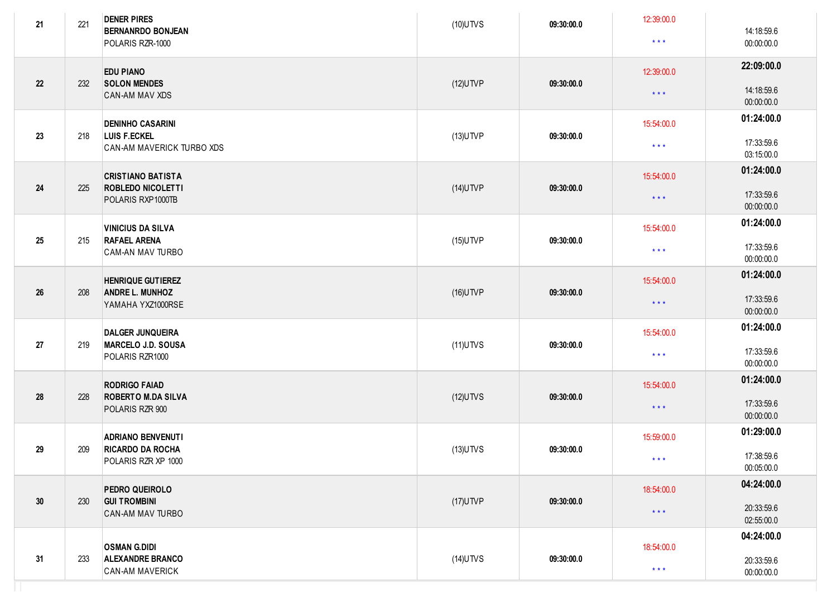| 21 | 221                                                                            | <b>DENER PIRES</b><br><b>BERNANRDO BONJEAN</b><br>POLARIS RZR-1000         | $(10)$ UTVS | 09:30:00.0              | 12:39:00.0<br>$* * *$    | 14:18:59.6<br>00:00:00.0 |
|----|--------------------------------------------------------------------------------|----------------------------------------------------------------------------|-------------|-------------------------|--------------------------|--------------------------|
| 22 | 232                                                                            | <b>EDU PIANO</b><br><b>SOLON MENDES</b><br>CAN-AM MAV XDS                  | $(12)$ UTVP | 09:30:00.0              | 12:39:00.0<br>$***$      | 22:09:00.0<br>14:18:59.6 |
|    |                                                                                |                                                                            |             |                         |                          | 00:00:00.0               |
| 23 | 218                                                                            | <b>DENINHO CASARINI</b><br>LUIS F.ECKEL<br>CAN-AM MAVERICK TURBO XDS       | $(13)$ UTVP | 09:30:00.0              | 15:54:00.0               | 01:24:00.0               |
|    |                                                                                |                                                                            |             |                         | $\star$ $\star$ $\star$  | 17:33:59.6<br>03:15:00.0 |
|    |                                                                                | <b>CRISTIANO BATISTA</b>                                                   |             | 09:30:00.0              | 15:54:00.0               | 01:24:00.0               |
| 24 | 225                                                                            | <b>ROBLEDO NICOLETTI</b><br>POLARIS RXP1000TB                              | $(14)$ UTVP |                         | $\star$ $\star$ $\star$  | 17:33:59.6<br>00:00:00.0 |
| 25 |                                                                                | <b>VINICIUS DA SILVA</b><br><b>RAFAEL ARENA</b><br>CAM-AN MAV TURBO        | $(15)$ UTVP | 09:30:00.0              | 15:54:00.0               | 01:24:00.0               |
|    | 215                                                                            |                                                                            |             |                         | $\star$ $\star$ $\star$  | 17:33:59.6<br>00:00:00.0 |
|    | <b>HENRIQUE GUTIEREZ</b><br>208<br><b>ANDRE L. MUNHOZ</b><br>YAMAHA YXZ1000RSE |                                                                            |             |                         | 15:54:00.0               | 01:24:00.0               |
| 26 |                                                                                | $(16)$ UTVP                                                                | 09:30:00.0  | $\star$ $\star$ $\star$ | 17:33:59.6<br>00:00:00.0 |                          |
|    |                                                                                | <b>DALGER JUNQUEIRA</b>                                                    |             | 09:30:00.0              | 15:54:00.0               | 01:24:00.0               |
| 27 | 219                                                                            | MARCELO J.D. SOUSA<br>POLARIS RZR1000                                      | $(11)$ UTVS |                         | $\star$ $\star$ $\star$  | 17:33:59.6<br>00:00:00.0 |
|    |                                                                                | <b>RODRIGO FAIAD</b>                                                       |             | 09:30:00.0              | 15:54:00.0               | 01:24:00.0               |
| 28 | 228                                                                            | <b>ROBERTO M.DA SILVA</b><br>POLARIS RZR 900                               | $(12)$ UTVS |                         | $\star$ $\star$ $\star$  | 17:33:59.6<br>00:00:00.0 |
|    | 209                                                                            | <b>ADRIANO BENVENUTI</b><br><b>RICARDO DA ROCHA</b><br>POLARIS RZR XP 1000 | $(13)$ UTVS | 09:30:00.0              | 15:59:00.0               | 01:29:00.0               |
| 29 |                                                                                |                                                                            |             |                         | $***$                    | 17:38:59.6<br>00:05:00.0 |
|    | 230                                                                            | PEDRO QUEIROLO<br><b>GUI TROMBINI</b><br>CAN-AM MAV TURBO                  | $(17)$ UTVP | 09:30:00.0              | 18:54:00.0               | 04:24:00.0               |
| 30 |                                                                                |                                                                            |             |                         | $\star$ $\star$ $\star$  | 20:33:59.6<br>02:55:00.0 |
|    |                                                                                | <b>OSMAN G.DIDI</b>                                                        |             |                         | 18:54:00.0               | 04:24:00.0               |
| 31 | 233                                                                            | <b>ALEXANDRE BRANCO</b><br>CAN-AM MAVERICK                                 | $(14)$ UTVS | 09:30:00.0              | $\star$ $\star$ $\star$  | 20:33:59.6<br>00:00:00.0 |